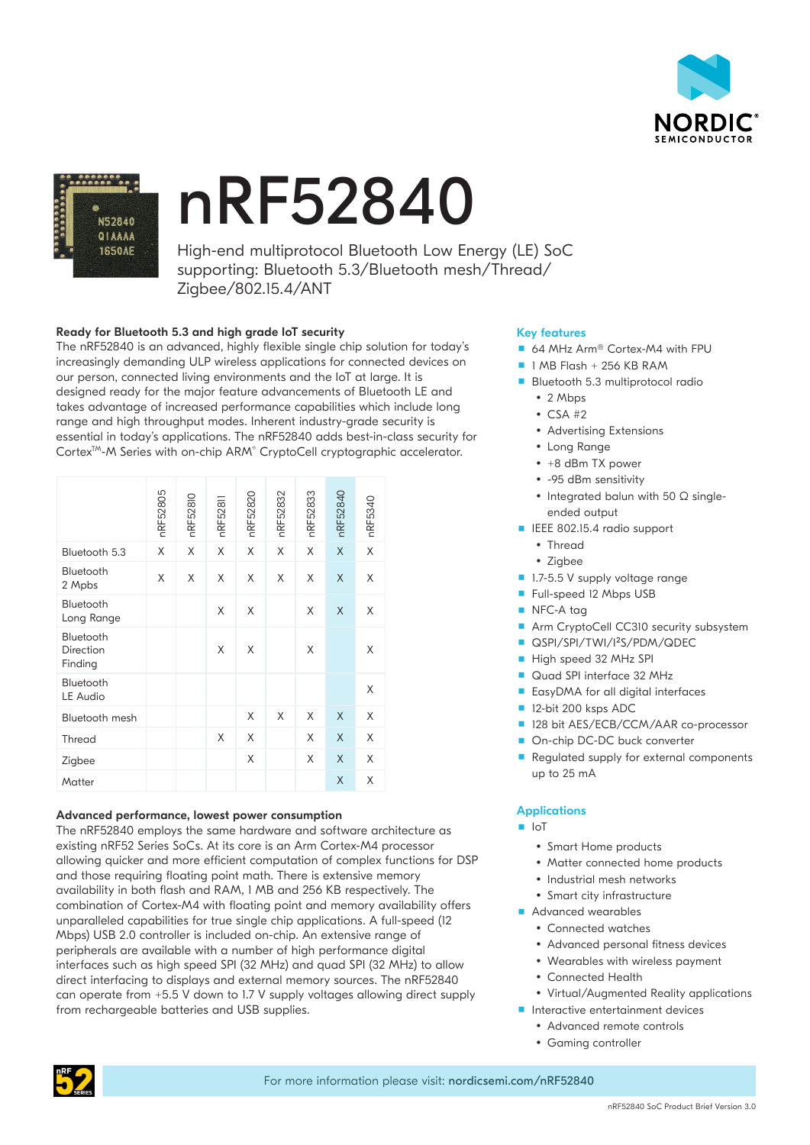



# nRF52840

High-end multiprotocol Bluetooth Low Energy (LE) SoC supporting: Bluetooth 5.3/Bluetooth mesh/Thread/ Zigbee/802.15.4/ANT

# Ready for Bluetooth 5.3 and high grade IoT security

The nRF52840 is an advanced, highly flexible single chip solution for today's increasingly demanding ULP wireless applications for connected devices on our person, connected living environments and the IoT at large. It is designed ready for the major feature advancements of Bluetooth LE and takes advantage of increased performance capabilities which include long range and high throughput modes. Inherent industry-grade security is essential in today's applications. The nRF52840 adds best-in-class security for Cortex™-M Series with on-chip ARM® CryptoCell cryptographic accelerator.

|                                                                                                                                                                                                                                                                                                                                                                                                                                                                                                                                                                                                                                                                                                                                                                                                                                                      | nRF52805 | nRF52810 | nRF5281 | nRF52820 | nRF52832 | nRF52833 | nRF52840    | nRF5340 |
|------------------------------------------------------------------------------------------------------------------------------------------------------------------------------------------------------------------------------------------------------------------------------------------------------------------------------------------------------------------------------------------------------------------------------------------------------------------------------------------------------------------------------------------------------------------------------------------------------------------------------------------------------------------------------------------------------------------------------------------------------------------------------------------------------------------------------------------------------|----------|----------|---------|----------|----------|----------|-------------|---------|
| Bluetooth 5.3                                                                                                                                                                                                                                                                                                                                                                                                                                                                                                                                                                                                                                                                                                                                                                                                                                        | X        | X        | X       | X        | X        | X        | $\mathsf X$ | Χ       |
| Bluetooth<br>2 Mpbs                                                                                                                                                                                                                                                                                                                                                                                                                                                                                                                                                                                                                                                                                                                                                                                                                                  | X        | X        | X       | X        | X        | X        | X           | X       |
| Bluetooth<br>Long Range                                                                                                                                                                                                                                                                                                                                                                                                                                                                                                                                                                                                                                                                                                                                                                                                                              |          |          | X       | Χ        |          | X        | Χ           | X       |
| Bluetooth<br>Direction<br>Finding                                                                                                                                                                                                                                                                                                                                                                                                                                                                                                                                                                                                                                                                                                                                                                                                                    |          |          | X       | X        |          | X        |             | X       |
| Bluetooth<br><b>LE Audio</b>                                                                                                                                                                                                                                                                                                                                                                                                                                                                                                                                                                                                                                                                                                                                                                                                                         |          |          |         |          |          |          |             | X       |
| Bluetooth mesh                                                                                                                                                                                                                                                                                                                                                                                                                                                                                                                                                                                                                                                                                                                                                                                                                                       |          |          |         | X        | X        | X        | X           | X       |
| Thread                                                                                                                                                                                                                                                                                                                                                                                                                                                                                                                                                                                                                                                                                                                                                                                                                                               |          |          | X       | X        |          | X        | X           | X       |
| Zigbee                                                                                                                                                                                                                                                                                                                                                                                                                                                                                                                                                                                                                                                                                                                                                                                                                                               |          |          |         | X        |          | X        | X           | X       |
| Matter                                                                                                                                                                                                                                                                                                                                                                                                                                                                                                                                                                                                                                                                                                                                                                                                                                               |          |          |         |          |          |          | Χ           | Χ       |
| Advanced performance, lowest power consumption<br>The nRF52840 employs the same hardware and software arc<br>existing nRF52 Series SoCs. At its core is an Arm Cortex-M4 p<br>allowing quicker and more efficient computation of complex f<br>and those requiring floating point math. There is extensive me<br>availability in both flash and RAM, I MB and 256 KB respectiv<br>combination of Cortex-M4 with floating point and memory av<br>unparalleled capabilities for true single chip applications. A fu<br>Mbps) USB 2.0 controller is included on-chip. An extensive rar<br>peripherals are available with a number of high performance<br>interfaces such as high speed SPI (32 MHz) and quad SPI (32 .<br>direct interfacing to displays and external memory sources. Tl<br>can operate from +5.5 V down to 1.7 V supply voltages allowi |          |          |         |          |          |          |             |         |

## Advanced performance, lowest power consumption

The nRF52840 employs the same hardware and software architecture as existing nRF52 Series SoCs. At its core is an Arm Cortex-M4 processor allowing quicker and more efficient computation of complex functions for DSP and those requiring floating point math. There is extensive memory availability in both flash and RAM, 1 MB and 256 KB respectively. The combination of Cortex-M4 with floating point and memory availability offers unparalleled capabilities for true single chip applications. A full-speed (12 Mbps) USB 2.0 controller is included on-chip. An extensive range of peripherals are available with a number of high performance digital interfaces such as high speed SPI (32 MHz) and quad SPI (32 MHz) to allow direct interfacing to displays and external memory sources. The nRF52840 can operate from +5.5 V down to 1.7 V supply voltages allowing direct supply

# Key features

- 64 MHz Arm<sup>®</sup> Cortex-M4 with FPU
- $\blacksquare$  1 MB Flash + 256 KB RAM
- **Bluetooth 5.3 multiprotocol radio** 
	- $\cdot$  2 Mbps
	- $\bullet$  CSA #2
	- Advertising Extensions
	- Long Range
	- $\cdot$  +8 dBm TX power
	- y -95 dBm sensitivity
	- Integrated balun with 50  $\Omega$  singleended output
- **IEEE 802.15.4 radio support** 
	- Thread
	- Zigbee
- **1.7-5.5 V supply voltage range**
- **Full-speed 12 Mbps USB**
- NFC-A tag
- Arm CryptoCell CC310 security subsystem
- **QSPI/SPI/TWI/I<sup>2</sup>S/PDM/QDEC**
- High speed 32 MHz SPI
- Quad SPI interface 32 MHz
- EasyDMA for all digital interfaces
- 12-bit 200 ksps ADC
- 128 bit AES/ECB/CCM/AAR co-processor
- On-chip DC-DC buck converter
- Regulated supply for external components up to 25 mA

## **Applications**

#### $\blacksquare$  IoT

- Smart Home products
- Matter connected home products
- Industrial mesh networks
- Smart city infrastructure
- Advanced wearables
- Connected watches
- Advanced personal fitness devices
- Wearables with wireless payment
- Connected Health
- Virtual/Auamented Reality applications
- **Interactive entertainment devices** 
	- Advanced remote controls
	- Gaming controller